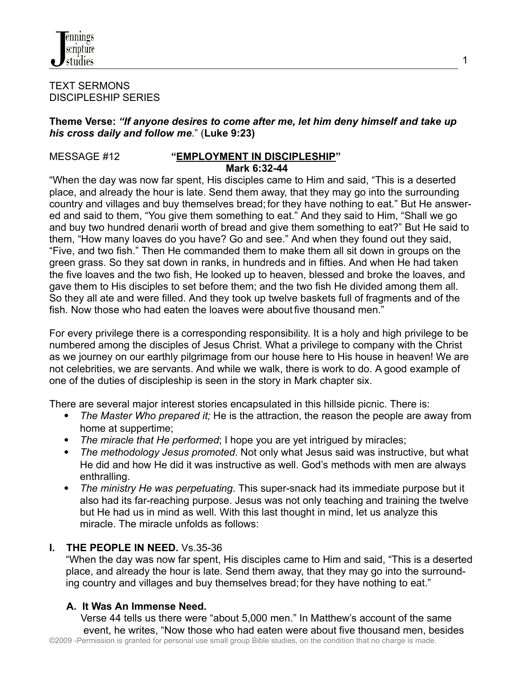

#### TEXT SERMONS DISCIPLESHIP SERIES

### **Theme Verse:** *"If anyone desires to come after me, let him deny himself and take up his cross daily and follow me*." (**Luke 9:23)**

### MESSAGE #12 **"EMPLOYMENT IN DISCIPLESHIP" Mark 6:32-44**

"When the day was now far spent, His disciples came to Him and said, "This is a deserted place, and already the hour is late. Send them away, that they may go into the surrounding country and villages and buy themselves bread; for they have nothing to eat." But He answered and said to them, "You give them something to eat." And they said to Him, "Shall we go and buy two hundred denarii worth of bread and give them something to eat?" But He said to them, "How many loaves do you have? Go and see." And when they found out they said, "Five, and two fish." Then He commanded them to make them all sit down in groups on the green grass. So they sat down in ranks, in hundreds and in fifties. And when He had taken the five loaves and the two fish, He looked up to heaven, blessed and broke the loaves, and gave them to His disciples to set before them; and the two fish He divided among them all. So they all ate and were filled. And they took up twelve baskets full of fragments and of the fish. Now those who had eaten the loaves were about five thousand men."

For every privilege there is a corresponding responsibility. It is a holy and high privilege to be numbered among the disciples of Jesus Christ. What a privilege to company with the Christ as we journey on our earthly pilgrimage from our house here to His house in heaven! We are not celebrities, we are servants. And while we walk, there is work to do. A good example of one of the duties of discipleship is seen in the story in Mark chapter six.

There are several major interest stories encapsulated in this hillside picnic. There is:

- *The Master Who prepared it;* He is the attraction, the reason the people are away from home at suppertime;
- *The miracle that He performed*; I hope you are yet intrigued by miracles;
- *The methodology Jesus promoted*. Not only what Jesus said was instructive, but what He did and how He did it was instructive as well. God's methods with men are always enthralling.
- *The ministry He was perpetuating*. This super-snack had its immediate purpose but it also had its far-reaching purpose. Jesus was not only teaching and training the twelve but He had us in mind as well. With this last thought in mind, let us analyze this miracle. The miracle unfolds as follows:

# **I. THE PEOPLE IN NEED.** Vs.35-36

"When the day was now far spent, His disciples came to Him and said, "This is a deserted place, and already the hour is late. Send them away, that they may go into the surrounding country and villages and buy themselves bread; for they have nothing to eat."

### **A. It Was An Immense Need.**

Verse 44 tells us there were "about 5,000 men." In Matthew's account of the same event, he writes, "Now those who had eaten were about five thousand men, besides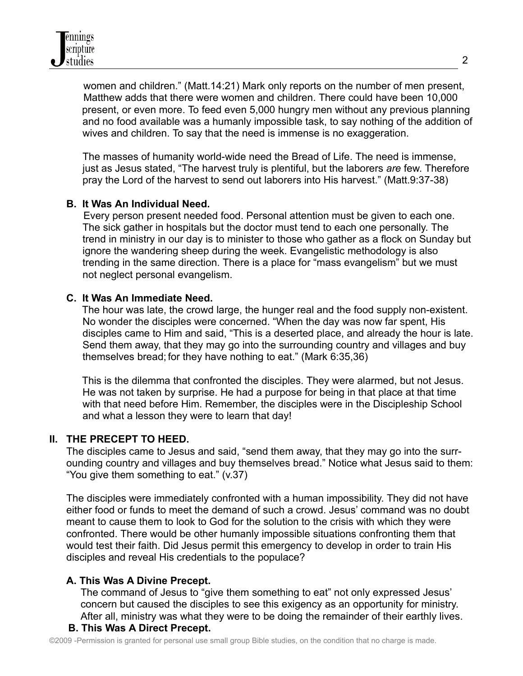women and children." (Matt.14:21) Mark only reports on the number of men present, Matthew adds that there were women and children. There could have been 10,000 present, or even more. To feed even 5,000 hungry men without any previous planning and no food available was a humanly impossible task, to say nothing of the addition of wives and children. To say that the need is immense is no exaggeration.

The masses of humanity world-wide need the Bread of Life. The need is immense, just as Jesus stated, "The harvest truly is plentiful, but the laborers *are* few. Therefore pray the Lord of the harvest to send out laborers into His harvest." (Matt.9:37-38)

# **B. It Was An Individual Need.**

Every person present needed food. Personal attention must be given to each one. The sick gather in hospitals but the doctor must tend to each one personally. The trend in ministry in our day is to minister to those who gather as a flock on Sunday but ignore the wandering sheep during the week. Evangelistic methodology is also trending in the same direction. There is a place for "mass evangelism" but we must not neglect personal evangelism.

### **C. It Was An Immediate Need.**

The hour was late, the crowd large, the hunger real and the food supply non-existent. No wonder the disciples were concerned. "When the day was now far spent, His disciples came to Him and said, "This is a deserted place, and already the hour is late. Send them away, that they may go into the surrounding country and villages and buy themselves bread; for they have nothing to eat." (Mark 6:35,36)

This is the dilemma that confronted the disciples. They were alarmed, but not Jesus. He was not taken by surprise. He had a purpose for being in that place at that time with that need before Him. Remember, the disciples were in the Discipleship School and what a lesson they were to learn that day!

# **II. THE PRECEPT TO HEED.**

The disciples came to Jesus and said, "send them away, that they may go into the surrounding country and villages and buy themselves bread." Notice what Jesus said to them: "You give them something to eat." (v.37)

The disciples were immediately confronted with a human impossibility. They did not have either food or funds to meet the demand of such a crowd. Jesus' command was no doubt meant to cause them to look to God for the solution to the crisis with which they were confronted. There would be other humanly impossible situations confronting them that would test their faith. Did Jesus permit this emergency to develop in order to train His disciples and reveal His credentials to the populace?

# **A. This Was A Divine Precept.**

The command of Jesus to "give them something to eat" not only expressed Jesus' concern but caused the disciples to see this exigency as an opportunity for ministry. After all, ministry was what they were to be doing the remainder of their earthly lives.

# **B. This Was A Direct Precept.**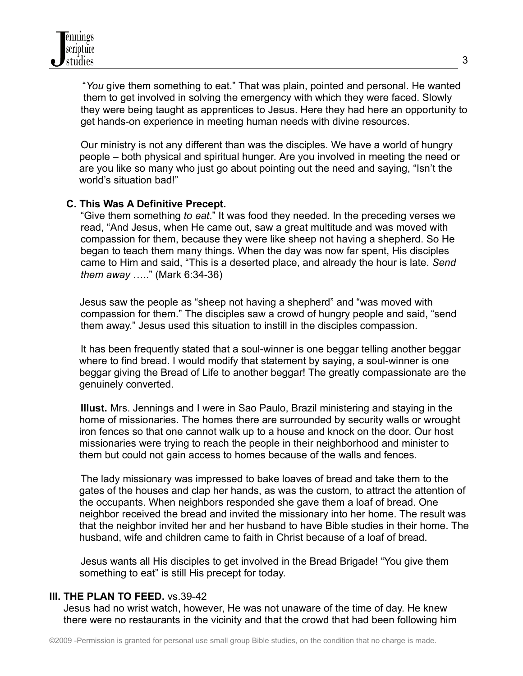"*You* give them something to eat." That was plain, pointed and personal. He wanted them to get involved in solving the emergency with which they were faced. Slowly they were being taught as apprentices to Jesus. Here they had here an opportunity to get hands-on experience in meeting human needs with divine resources.

Our ministry is not any different than was the disciples. We have a world of hungry people – both physical and spiritual hunger. Are you involved in meeting the need or are you like so many who just go about pointing out the need and saying, "Isn't the world's situation bad!"

### **C. This Was A Definitive Precept.**

"Give them something *to eat*." It was food they needed. In the preceding verses we read, "And Jesus, when He came out, saw a great multitude and was moved with compassion for them, because they were like sheep not having a shepherd. So He began to teach them many things. When the day was now far spent, His disciples came to Him and said, "This is a deserted place, and already the hour is late. *Send them away* ….." (Mark 6:34-36)

Jesus saw the people as "sheep not having a shepherd" and "was moved with compassion for them." The disciples saw a crowd of hungry people and said, "send them away." Jesus used this situation to instill in the disciples compassion.

It has been frequently stated that a soul-winner is one beggar telling another beggar where to find bread. I would modify that statement by saying, a soul-winner is one beggar giving the Bread of Life to another beggar! The greatly compassionate are the genuinely converted.

**Illust.** Mrs. Jennings and I were in Sao Paulo, Brazil ministering and staying in the home of missionaries. The homes there are surrounded by security walls or wrought iron fences so that one cannot walk up to a house and knock on the door. Our host missionaries were trying to reach the people in their neighborhood and minister to them but could not gain access to homes because of the walls and fences.

The lady missionary was impressed to bake loaves of bread and take them to the gates of the houses and clap her hands, as was the custom, to attract the attention of the occupants. When neighbors responded she gave them a loaf of bread. One neighbor received the bread and invited the missionary into her home. The result was that the neighbor invited her and her husband to have Bible studies in their home. The husband, wife and children came to faith in Christ because of a loaf of bread.

Jesus wants all His disciples to get involved in the Bread Brigade! "You give them something to eat" is still His precept for today.

### **III. THE PLAN TO FEED.** vs.39-42

Jesus had no wrist watch, however, He was not unaware of the time of day. He knew there were no restaurants in the vicinity and that the crowd that had been following him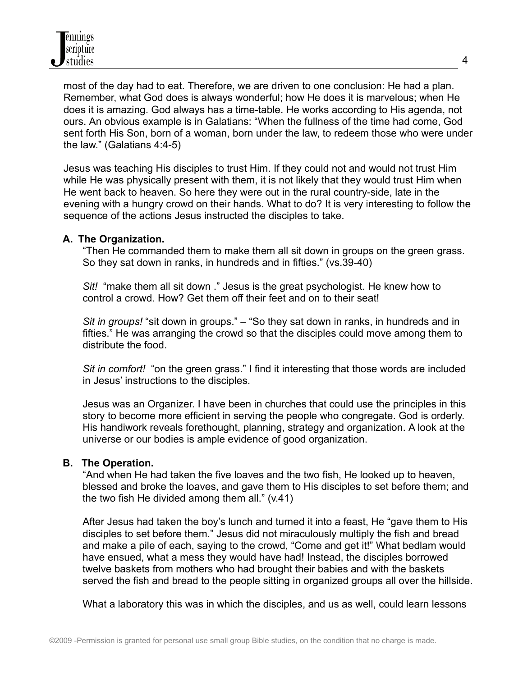most of the day had to eat. Therefore, we are driven to one conclusion: He had a plan. Remember, what God does is always wonderful; how He does it is marvelous; when He does it is amazing. God always has a time-table. He works according to His agenda, not ours. An obvious example is in Galatians: "When the fullness of the time had come, God sent forth His Son, born of a woman, born under the law, to redeem those who were under the law." (Galatians 4:4-5)

Jesus was teaching His disciples to trust Him. If they could not and would not trust Him while He was physically present with them, it is not likely that they would trust Him when He went back to heaven. So here they were out in the rural country-side, late in the evening with a hungry crowd on their hands. What to do? It is very interesting to follow the sequence of the actions Jesus instructed the disciples to take.

### **A. The Organization.**

"Then He commanded them to make them all sit down in groups on the green grass. So they sat down in ranks, in hundreds and in fifties." (vs.39-40)

*Sit!* "make them all sit down ." Jesus is the great psychologist. He knew how to control a crowd. How? Get them off their feet and on to their seat!

*Sit in groups!* "sit down in groups." – "So they sat down in ranks, in hundreds and in fifties." He was arranging the crowd so that the disciples could move among them to distribute the food.

*Sit in comfort!* "on the green grass." I find it interesting that those words are included in Jesus' instructions to the disciples.

Jesus was an Organizer. I have been in churches that could use the principles in this story to become more efficient in serving the people who congregate. God is orderly. His handiwork reveals forethought, planning, strategy and organization. A look at the universe or our bodies is ample evidence of good organization.

### **B. The Operation.**

"And when He had taken the five loaves and the two fish, He looked up to heaven, blessed and broke the loaves, and gave them to His disciples to set before them; and the two fish He divided among them all." (v.41)

After Jesus had taken the boy's lunch and turned it into a feast, He "gave them to His disciples to set before them." Jesus did not miraculously multiply the fish and bread and make a pile of each, saying to the crowd, "Come and get it!" What bedlam would have ensued, what a mess they would have had! Instead, the disciples borrowed twelve baskets from mothers who had brought their babies and with the baskets served the fish and bread to the people sitting in organized groups all over the hillside.

What a laboratory this was in which the disciples, and us as well, could learn lessons